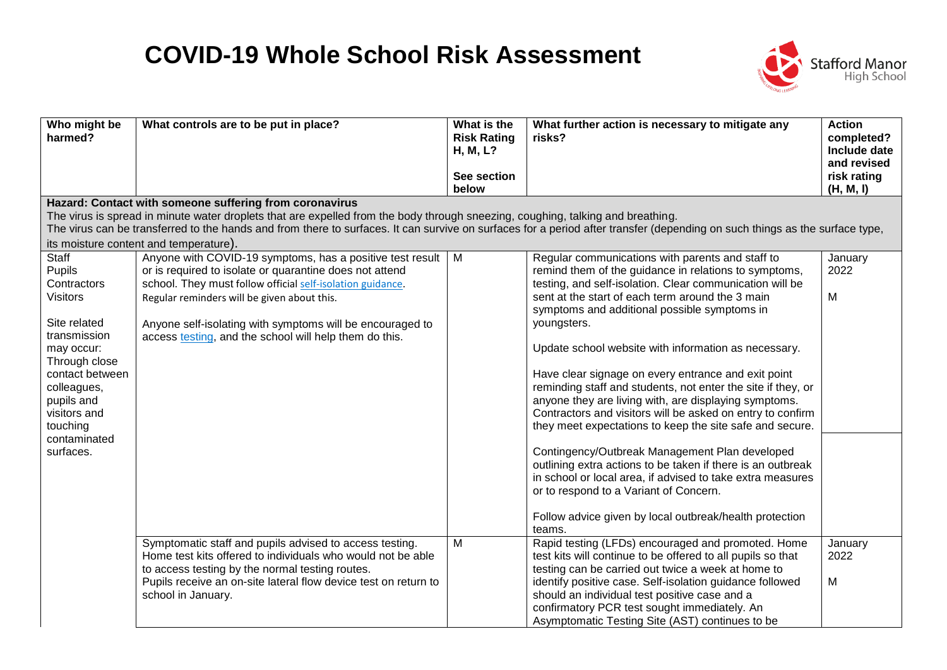## **COVID-19 Whole School Risk Assessment**



| Who might be<br>harmed?                                                                                                                                                                                                   | What controls are to be put in place?                                                                                                                                                                                                                                                                                                                        | What is the<br><b>Risk Rating</b><br>H, M, L?<br>See section<br>below | What further action is necessary to mitigate any<br>risks?                                                                                                                                                                                                                                                                                                                                                                                                                                                                                                                                                                                                                                                                                                                                                                                                                          | <b>Action</b><br>completed?<br>Include date<br>and revised<br>risk rating<br>(H, M, I) |
|---------------------------------------------------------------------------------------------------------------------------------------------------------------------------------------------------------------------------|--------------------------------------------------------------------------------------------------------------------------------------------------------------------------------------------------------------------------------------------------------------------------------------------------------------------------------------------------------------|-----------------------------------------------------------------------|-------------------------------------------------------------------------------------------------------------------------------------------------------------------------------------------------------------------------------------------------------------------------------------------------------------------------------------------------------------------------------------------------------------------------------------------------------------------------------------------------------------------------------------------------------------------------------------------------------------------------------------------------------------------------------------------------------------------------------------------------------------------------------------------------------------------------------------------------------------------------------------|----------------------------------------------------------------------------------------|
|                                                                                                                                                                                                                           | Hazard: Contact with someone suffering from coronavirus                                                                                                                                                                                                                                                                                                      |                                                                       |                                                                                                                                                                                                                                                                                                                                                                                                                                                                                                                                                                                                                                                                                                                                                                                                                                                                                     |                                                                                        |
|                                                                                                                                                                                                                           | The virus is spread in minute water droplets that are expelled from the body through sneezing, coughing, talking and breathing.<br>The virus can be transferred to the hands and from there to surfaces. It can survive on surfaces for a period after transfer (depending on such things as the surface type,                                               |                                                                       |                                                                                                                                                                                                                                                                                                                                                                                                                                                                                                                                                                                                                                                                                                                                                                                                                                                                                     |                                                                                        |
|                                                                                                                                                                                                                           | its moisture content and temperature).                                                                                                                                                                                                                                                                                                                       |                                                                       |                                                                                                                                                                                                                                                                                                                                                                                                                                                                                                                                                                                                                                                                                                                                                                                                                                                                                     |                                                                                        |
| Staff<br>Pupils<br>Contractors<br><b>Visitors</b><br>Site related<br>transmission<br>may occur:<br>Through close<br>contact between<br>colleagues,<br>pupils and<br>visitors and<br>touching<br>contaminated<br>surfaces. | Anyone with COVID-19 symptoms, has a positive test result   M<br>or is required to isolate or quarantine does not attend<br>school. They must follow official self-isolation guidance.<br>Regular reminders will be given about this.<br>Anyone self-isolating with symptoms will be encouraged to<br>access testing, and the school will help them do this. |                                                                       | Regular communications with parents and staff to<br>remind them of the guidance in relations to symptoms,<br>testing, and self-isolation. Clear communication will be<br>sent at the start of each term around the 3 main<br>symptoms and additional possible symptoms in<br>youngsters.<br>Update school website with information as necessary.<br>Have clear signage on every entrance and exit point<br>reminding staff and students, not enter the site if they, or<br>anyone they are living with, are displaying symptoms.<br>Contractors and visitors will be asked on entry to confirm<br>they meet expectations to keep the site safe and secure.<br>Contingency/Outbreak Management Plan developed<br>outlining extra actions to be taken if there is an outbreak<br>in school or local area, if advised to take extra measures<br>or to respond to a Variant of Concern. | January<br>2022<br>M                                                                   |
|                                                                                                                                                                                                                           |                                                                                                                                                                                                                                                                                                                                                              |                                                                       | Follow advice given by local outbreak/health protection<br>teams.                                                                                                                                                                                                                                                                                                                                                                                                                                                                                                                                                                                                                                                                                                                                                                                                                   |                                                                                        |
|                                                                                                                                                                                                                           | Symptomatic staff and pupils advised to access testing.<br>Home test kits offered to individuals who would not be able<br>to access testing by the normal testing routes.<br>Pupils receive an on-site lateral flow device test on return to<br>school in January.                                                                                           | M                                                                     | Rapid testing (LFDs) encouraged and promoted. Home<br>test kits will continue to be offered to all pupils so that<br>testing can be carried out twice a week at home to<br>identify positive case. Self-isolation guidance followed<br>should an individual test positive case and a<br>confirmatory PCR test sought immediately. An<br>Asymptomatic Testing Site (AST) continues to be                                                                                                                                                                                                                                                                                                                                                                                                                                                                                             | January<br>2022<br>M                                                                   |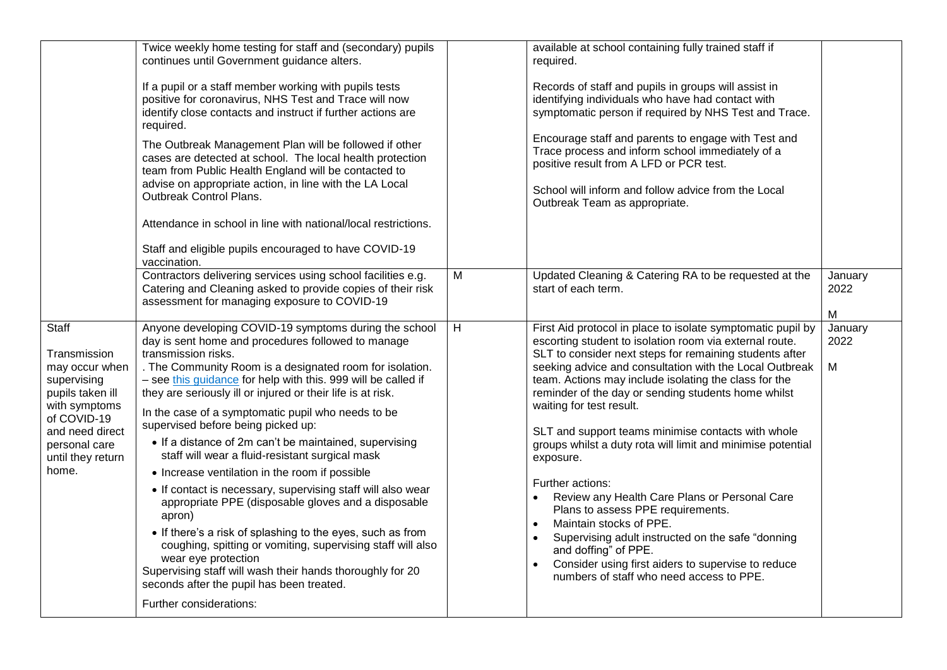|                                                                                                                                                                              | Twice weekly home testing for staff and (secondary) pupils<br>continues until Government guidance alters.<br>If a pupil or a staff member working with pupils tests<br>positive for coronavirus, NHS Test and Trace will now<br>identify close contacts and instruct if further actions are<br>required.<br>The Outbreak Management Plan will be followed if other<br>cases are detected at school. The local health protection<br>team from Public Health England will be contacted to<br>advise on appropriate action, in line with the LA Local<br>Outbreak Control Plans.<br>Attendance in school in line with national/local restrictions.<br>Staff and eligible pupils encouraged to have COVID-19                                                                                                                                                                                                                                                                                                           |   | available at school containing fully trained staff if<br>required.<br>Records of staff and pupils in groups will assist in<br>identifying individuals who have had contact with<br>symptomatic person if required by NHS Test and Trace.<br>Encourage staff and parents to engage with Test and<br>Trace process and inform school immediately of a<br>positive result from A LFD or PCR test.<br>School will inform and follow advice from the Local<br>Outbreak Team as appropriate.                                                                                                                                                                                                                                                                                                                                                                      |                      |
|------------------------------------------------------------------------------------------------------------------------------------------------------------------------------|--------------------------------------------------------------------------------------------------------------------------------------------------------------------------------------------------------------------------------------------------------------------------------------------------------------------------------------------------------------------------------------------------------------------------------------------------------------------------------------------------------------------------------------------------------------------------------------------------------------------------------------------------------------------------------------------------------------------------------------------------------------------------------------------------------------------------------------------------------------------------------------------------------------------------------------------------------------------------------------------------------------------|---|-------------------------------------------------------------------------------------------------------------------------------------------------------------------------------------------------------------------------------------------------------------------------------------------------------------------------------------------------------------------------------------------------------------------------------------------------------------------------------------------------------------------------------------------------------------------------------------------------------------------------------------------------------------------------------------------------------------------------------------------------------------------------------------------------------------------------------------------------------------|----------------------|
|                                                                                                                                                                              | vaccination.<br>Contractors delivering services using school facilities e.g.<br>Catering and Cleaning asked to provide copies of their risk<br>assessment for managing exposure to COVID-19                                                                                                                                                                                                                                                                                                                                                                                                                                                                                                                                                                                                                                                                                                                                                                                                                        | M | Updated Cleaning & Catering RA to be requested at the<br>start of each term.                                                                                                                                                                                                                                                                                                                                                                                                                                                                                                                                                                                                                                                                                                                                                                                | January<br>2022<br>M |
| Staff<br>Transmission<br>may occur when<br>supervising<br>pupils taken ill<br>with symptoms<br>of COVID-19<br>and need direct<br>personal care<br>until they return<br>home. | Anyone developing COVID-19 symptoms during the school<br>day is sent home and procedures followed to manage<br>transmission risks.<br>. The Community Room is a designated room for isolation.<br>- see this guidance for help with this. 999 will be called if<br>they are seriously ill or injured or their life is at risk.<br>In the case of a symptomatic pupil who needs to be<br>supervised before being picked up:<br>• If a distance of 2m can't be maintained, supervising<br>staff will wear a fluid-resistant surgical mask<br>• Increase ventilation in the room if possible<br>• If contact is necessary, supervising staff will also wear<br>appropriate PPE (disposable gloves and a disposable<br>apron)<br>• If there's a risk of splashing to the eyes, such as from<br>coughing, spitting or vomiting, supervising staff will also<br>wear eye protection<br>Supervising staff will wash their hands thoroughly for 20<br>seconds after the pupil has been treated.<br>Further considerations: | H | First Aid protocol in place to isolate symptomatic pupil by<br>escorting student to isolation room via external route.<br>SLT to consider next steps for remaining students after<br>seeking advice and consultation with the Local Outbreak<br>team. Actions may include isolating the class for the<br>reminder of the day or sending students home whilst<br>waiting for test result.<br>SLT and support teams minimise contacts with whole<br>groups whilst a duty rota will limit and minimise potential<br>exposure.<br>Further actions:<br>Review any Health Care Plans or Personal Care<br>Plans to assess PPE requirements.<br>Maintain stocks of PPE.<br>$\bullet$<br>Supervising adult instructed on the safe "donning<br>and doffing" of PPE.<br>Consider using first aiders to supervise to reduce<br>numbers of staff who need access to PPE. | January<br>2022<br>M |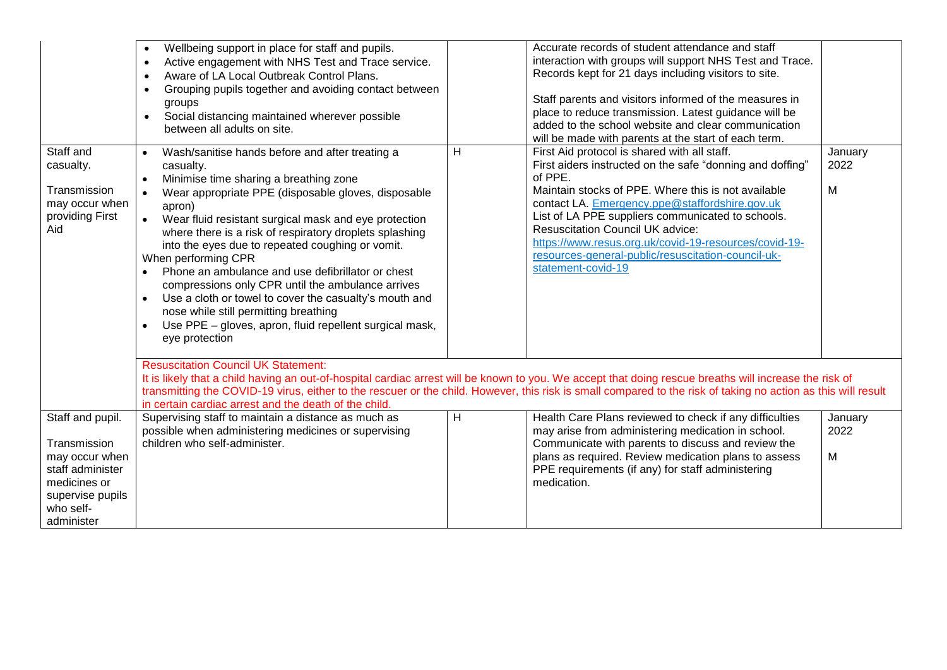|                                                                                                                                       | Wellbeing support in place for staff and pupils.<br>$\bullet$<br>Active engagement with NHS Test and Trace service.<br>$\bullet$<br>Aware of LA Local Outbreak Control Plans.<br>$\bullet$<br>Grouping pupils together and avoiding contact between<br>$\bullet$<br>groups<br>Social distancing maintained wherever possible<br>$\bullet$<br>between all adults on site.                                                                                                                                                                                                                                                                                                                                |   | Accurate records of student attendance and staff<br>interaction with groups will support NHS Test and Trace.<br>Records kept for 21 days including visitors to site.<br>Staff parents and visitors informed of the measures in<br>place to reduce transmission. Latest guidance will be<br>added to the school website and clear communication<br>will be made with parents at the start of each term.                                                             |                      |
|---------------------------------------------------------------------------------------------------------------------------------------|---------------------------------------------------------------------------------------------------------------------------------------------------------------------------------------------------------------------------------------------------------------------------------------------------------------------------------------------------------------------------------------------------------------------------------------------------------------------------------------------------------------------------------------------------------------------------------------------------------------------------------------------------------------------------------------------------------|---|--------------------------------------------------------------------------------------------------------------------------------------------------------------------------------------------------------------------------------------------------------------------------------------------------------------------------------------------------------------------------------------------------------------------------------------------------------------------|----------------------|
| Staff and<br>casualty.<br>Transmission<br>may occur when<br>providing First<br>Aid                                                    | Wash/sanitise hands before and after treating a<br>casualty.<br>Minimise time sharing a breathing zone<br>$\bullet$<br>Wear appropriate PPE (disposable gloves, disposable<br>$\bullet$<br>apron)<br>$\bullet$<br>Wear fluid resistant surgical mask and eye protection<br>where there is a risk of respiratory droplets splashing<br>into the eyes due to repeated coughing or vomit.<br>When performing CPR<br>Phone an ambulance and use defibrillator or chest<br>compressions only CPR until the ambulance arrives<br>Use a cloth or towel to cover the casualty's mouth and<br>nose while still permitting breathing<br>Use PPE - gloves, apron, fluid repellent surgical mask,<br>eye protection | H | First Aid protocol is shared with all staff.<br>First aiders instructed on the safe "donning and doffing"<br>of PPE.<br>Maintain stocks of PPE. Where this is not available<br>contact LA. Emergency.ppe@staffordshire.gov.uk<br>List of LA PPE suppliers communicated to schools.<br><b>Resuscitation Council UK advice:</b><br>https://www.resus.org.uk/covid-19-resources/covid-19-<br>resources-general-public/resuscitation-council-uk-<br>statement-covid-19 | January<br>2022<br>M |
|                                                                                                                                       | <b>Resuscitation Council UK Statement:</b><br>It is likely that a child having an out-of-hospital cardiac arrest will be known to you. We accept that doing rescue breaths will increase the risk of<br>transmitting the COVID-19 virus, either to the rescuer or the child. However, this risk is small compared to the risk of taking no action as this will result<br>in certain cardiac arrest and the death of the child.                                                                                                                                                                                                                                                                          |   |                                                                                                                                                                                                                                                                                                                                                                                                                                                                    |                      |
| Staff and pupil.<br>Transmission<br>may occur when<br>staff administer<br>medicines or<br>supervise pupils<br>who self-<br>administer | Supervising staff to maintain a distance as much as<br>possible when administering medicines or supervising<br>children who self-administer.                                                                                                                                                                                                                                                                                                                                                                                                                                                                                                                                                            | H | Health Care Plans reviewed to check if any difficulties<br>may arise from administering medication in school.<br>Communicate with parents to discuss and review the<br>plans as required. Review medication plans to assess<br>PPE requirements (if any) for staff administering<br>medication.                                                                                                                                                                    | January<br>2022<br>M |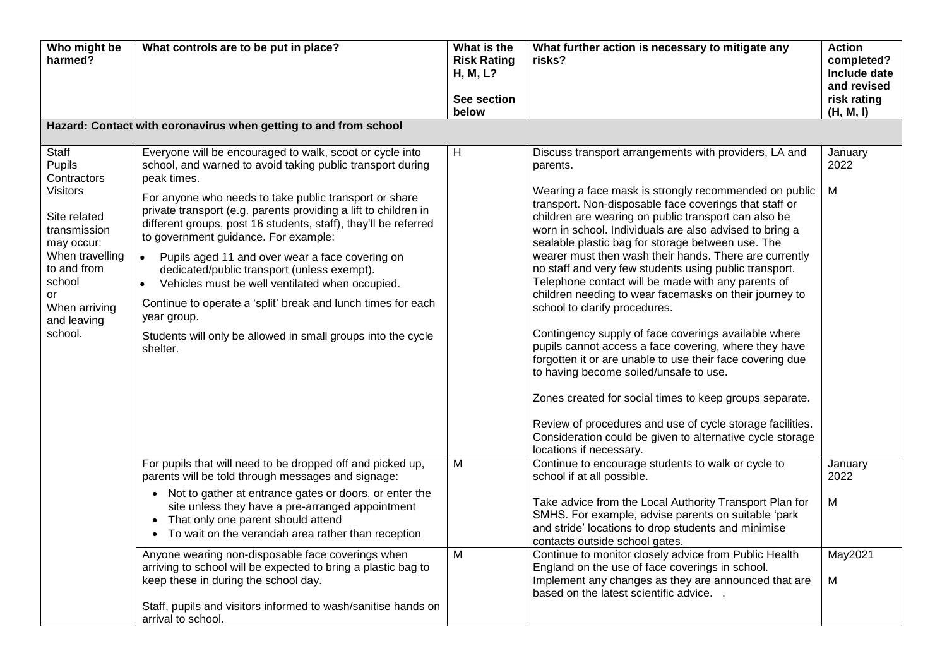| Who might be<br>harmed?                                                                                                                                                                      | What controls are to be put in place?                                                                                                                                                                                                                                                                                                                                                                                                                                                                                                                                                                                                                                                                                   | What is the<br><b>Risk Rating</b><br>H, M, L?<br>See section<br>below | What further action is necessary to mitigate any<br>risks?                                                                                                                                                                                                                                                                                                                                                                                                                                                                                                                                                                                                                                                                                                                                                                                                                                                                                                                                                                                                                | <b>Action</b><br>completed?<br>Include date<br>and revised<br>risk rating<br>(H, M, I) |
|----------------------------------------------------------------------------------------------------------------------------------------------------------------------------------------------|-------------------------------------------------------------------------------------------------------------------------------------------------------------------------------------------------------------------------------------------------------------------------------------------------------------------------------------------------------------------------------------------------------------------------------------------------------------------------------------------------------------------------------------------------------------------------------------------------------------------------------------------------------------------------------------------------------------------------|-----------------------------------------------------------------------|---------------------------------------------------------------------------------------------------------------------------------------------------------------------------------------------------------------------------------------------------------------------------------------------------------------------------------------------------------------------------------------------------------------------------------------------------------------------------------------------------------------------------------------------------------------------------------------------------------------------------------------------------------------------------------------------------------------------------------------------------------------------------------------------------------------------------------------------------------------------------------------------------------------------------------------------------------------------------------------------------------------------------------------------------------------------------|----------------------------------------------------------------------------------------|
|                                                                                                                                                                                              | Hazard: Contact with coronavirus when getting to and from school                                                                                                                                                                                                                                                                                                                                                                                                                                                                                                                                                                                                                                                        |                                                                       |                                                                                                                                                                                                                                                                                                                                                                                                                                                                                                                                                                                                                                                                                                                                                                                                                                                                                                                                                                                                                                                                           |                                                                                        |
| Staff<br>Pupils<br>Contractors<br><b>Visitors</b><br>Site related<br>transmission<br>may occur:<br>When travelling<br>to and from<br>school<br>or<br>When arriving<br>and leaving<br>school. | Everyone will be encouraged to walk, scoot or cycle into<br>school, and warned to avoid taking public transport during<br>peak times.<br>For anyone who needs to take public transport or share<br>private transport (e.g. parents providing a lift to children in<br>different groups, post 16 students, staff), they'll be referred<br>to government guidance. For example:<br>Pupils aged 11 and over wear a face covering on<br>$\bullet$<br>dedicated/public transport (unless exempt).<br>Vehicles must be well ventilated when occupied.<br>$\bullet$<br>Continue to operate a 'split' break and lunch times for each<br>year group.<br>Students will only be allowed in small groups into the cycle<br>shelter. | H                                                                     | Discuss transport arrangements with providers, LA and<br>parents.<br>Wearing a face mask is strongly recommended on public<br>transport. Non-disposable face coverings that staff or<br>children are wearing on public transport can also be<br>worn in school. Individuals are also advised to bring a<br>sealable plastic bag for storage between use. The<br>wearer must then wash their hands. There are currently<br>no staff and very few students using public transport.<br>Telephone contact will be made with any parents of<br>children needing to wear facemasks on their journey to<br>school to clarify procedures.<br>Contingency supply of face coverings available where<br>pupils cannot access a face covering, where they have<br>forgotten it or are unable to use their face covering due<br>to having become soiled/unsafe to use.<br>Zones created for social times to keep groups separate.<br>Review of procedures and use of cycle storage facilities.<br>Consideration could be given to alternative cycle storage<br>locations if necessary. | January<br>2022<br>М                                                                   |
|                                                                                                                                                                                              | For pupils that will need to be dropped off and picked up,<br>parents will be told through messages and signage:<br>• Not to gather at entrance gates or doors, or enter the<br>site unless they have a pre-arranged appointment<br>That only one parent should attend<br>To wait on the verandah area rather than reception<br>Anyone wearing non-disposable face coverings when<br>arriving to school will be expected to bring a plastic bag to<br>keep these in during the school day.<br>Staff, pupils and visitors informed to wash/sanitise hands on<br>arrival to school.                                                                                                                                       | M<br>M                                                                | Continue to encourage students to walk or cycle to<br>school if at all possible.<br>Take advice from the Local Authority Transport Plan for<br>SMHS. For example, advise parents on suitable 'park<br>and stride' locations to drop students and minimise<br>contacts outside school gates.<br>Continue to monitor closely advice from Public Health<br>England on the use of face coverings in school.<br>Implement any changes as they are announced that are<br>based on the latest scientific advice.                                                                                                                                                                                                                                                                                                                                                                                                                                                                                                                                                                 | January<br>2022<br>M<br>May2021<br>М                                                   |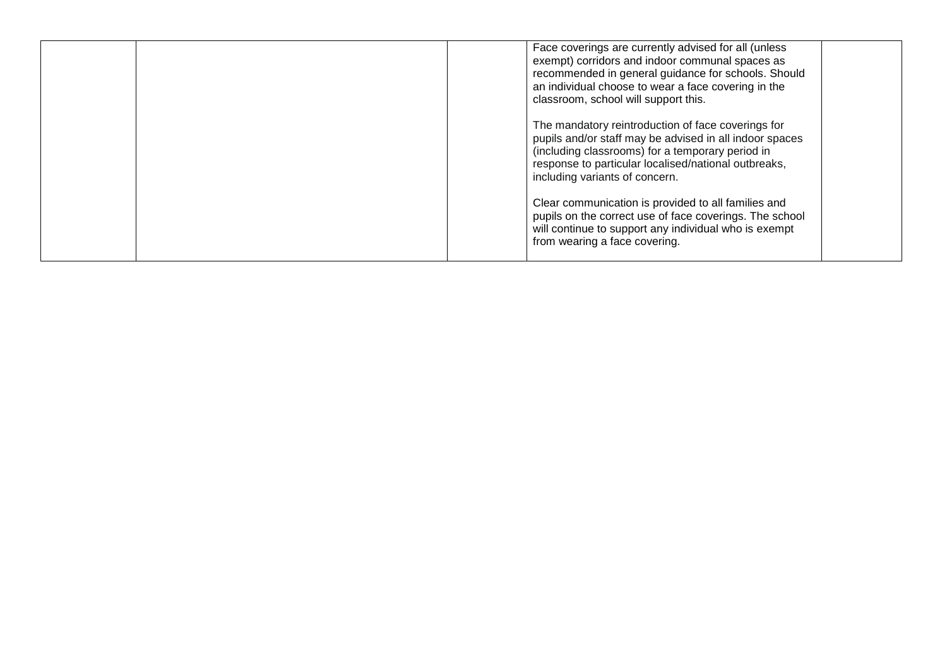|  | Face coverings are currently advised for all (unless<br>exempt) corridors and indoor communal spaces as<br>recommended in general guidance for schools. Should<br>an individual choose to wear a face covering in the<br>classroom, school will support this. |
|--|---------------------------------------------------------------------------------------------------------------------------------------------------------------------------------------------------------------------------------------------------------------|
|  | The mandatory reintroduction of face coverings for<br>pupils and/or staff may be advised in all indoor spaces<br>(including classrooms) for a temporary period in<br>response to particular localised/national outbreaks,<br>including variants of concern.   |
|  | Clear communication is provided to all families and<br>pupils on the correct use of face coverings. The school<br>will continue to support any individual who is exempt<br>from wearing a face covering.                                                      |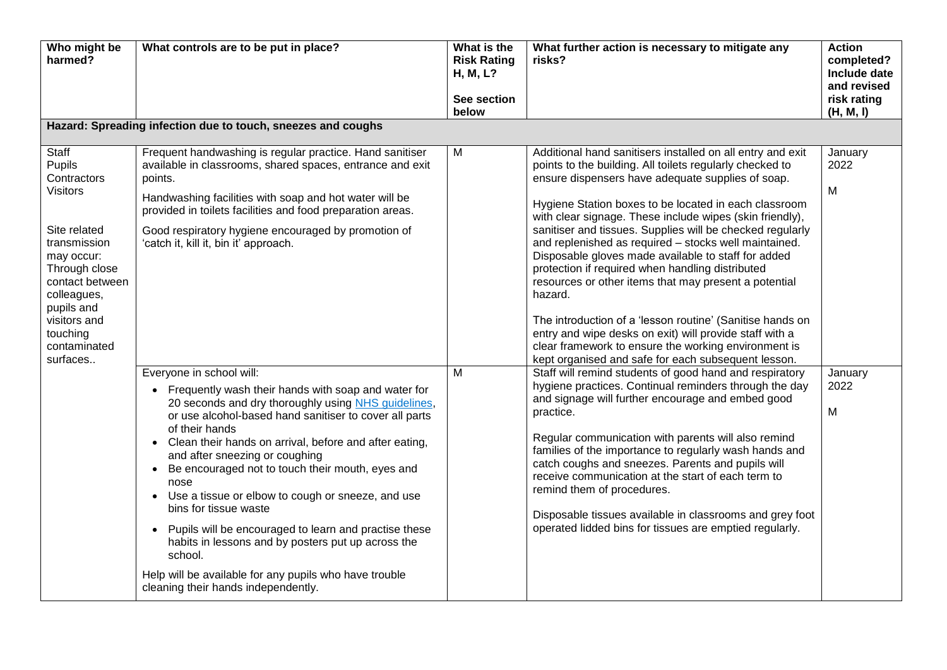| Who might be<br>harmed?                                                                                                                                                                                                  | What controls are to be put in place?                                                                                                                                                                                                                                                                                                                                                                                                                                                                                                                                                                                                                                                                                                                                                                                                                                                                                                                                                                                                                                     | What is the<br><b>Risk Rating</b><br>H, M, L?<br>See section<br>below | What further action is necessary to mitigate any<br>risks?                                                                                                                                                                                                                                                                                                                                                                                                                                                                                                                                                                                                                                                                                                                                                                                                                                                                                                                                                                                                                                                                                                                                                                                                                                                                                                                                                           | <b>Action</b><br>completed?<br>Include date<br>and revised<br>risk rating<br>(H, M, I) |
|--------------------------------------------------------------------------------------------------------------------------------------------------------------------------------------------------------------------------|---------------------------------------------------------------------------------------------------------------------------------------------------------------------------------------------------------------------------------------------------------------------------------------------------------------------------------------------------------------------------------------------------------------------------------------------------------------------------------------------------------------------------------------------------------------------------------------------------------------------------------------------------------------------------------------------------------------------------------------------------------------------------------------------------------------------------------------------------------------------------------------------------------------------------------------------------------------------------------------------------------------------------------------------------------------------------|-----------------------------------------------------------------------|----------------------------------------------------------------------------------------------------------------------------------------------------------------------------------------------------------------------------------------------------------------------------------------------------------------------------------------------------------------------------------------------------------------------------------------------------------------------------------------------------------------------------------------------------------------------------------------------------------------------------------------------------------------------------------------------------------------------------------------------------------------------------------------------------------------------------------------------------------------------------------------------------------------------------------------------------------------------------------------------------------------------------------------------------------------------------------------------------------------------------------------------------------------------------------------------------------------------------------------------------------------------------------------------------------------------------------------------------------------------------------------------------------------------|----------------------------------------------------------------------------------------|
|                                                                                                                                                                                                                          | Hazard: Spreading infection due to touch, sneezes and coughs                                                                                                                                                                                                                                                                                                                                                                                                                                                                                                                                                                                                                                                                                                                                                                                                                                                                                                                                                                                                              |                                                                       |                                                                                                                                                                                                                                                                                                                                                                                                                                                                                                                                                                                                                                                                                                                                                                                                                                                                                                                                                                                                                                                                                                                                                                                                                                                                                                                                                                                                                      |                                                                                        |
| Staff<br>Pupils<br>Contractors<br><b>Visitors</b><br>Site related<br>transmission<br>may occur:<br>Through close<br>contact between<br>colleagues,<br>pupils and<br>visitors and<br>touching<br>contaminated<br>surfaces | Frequent handwashing is regular practice. Hand sanitiser<br>available in classrooms, shared spaces, entrance and exit<br>points.<br>Handwashing facilities with soap and hot water will be<br>provided in toilets facilities and food preparation areas.<br>Good respiratory hygiene encouraged by promotion of<br>'catch it, kill it, bin it' approach.<br>Everyone in school will:<br>Frequently wash their hands with soap and water for<br>20 seconds and dry thoroughly using NHS guidelines,<br>or use alcohol-based hand sanitiser to cover all parts<br>of their hands<br>Clean their hands on arrival, before and after eating,<br>$\bullet$<br>and after sneezing or coughing<br>Be encouraged not to touch their mouth, eyes and<br>nose<br>Use a tissue or elbow to cough or sneeze, and use<br>$\bullet$<br>bins for tissue waste<br>Pupils will be encouraged to learn and practise these<br>habits in lessons and by posters put up across the<br>school.<br>Help will be available for any pupils who have trouble<br>cleaning their hands independently. | M<br>M                                                                | Additional hand sanitisers installed on all entry and exit<br>points to the building. All toilets regularly checked to<br>ensure dispensers have adequate supplies of soap.<br>Hygiene Station boxes to be located in each classroom<br>with clear signage. These include wipes (skin friendly),<br>sanitiser and tissues. Supplies will be checked regularly<br>and replenished as required - stocks well maintained.<br>Disposable gloves made available to staff for added<br>protection if required when handling distributed<br>resources or other items that may present a potential<br>hazard.<br>The introduction of a 'lesson routine' (Sanitise hands on<br>entry and wipe desks on exit) will provide staff with a<br>clear framework to ensure the working environment is<br>kept organised and safe for each subsequent lesson.<br>Staff will remind students of good hand and respiratory<br>hygiene practices. Continual reminders through the day<br>and signage will further encourage and embed good<br>practice.<br>Regular communication with parents will also remind<br>families of the importance to regularly wash hands and<br>catch coughs and sneezes. Parents and pupils will<br>receive communication at the start of each term to<br>remind them of procedures.<br>Disposable tissues available in classrooms and grey foot<br>operated lidded bins for tissues are emptied regularly. | January<br>2022<br>M<br>January<br>2022<br>M                                           |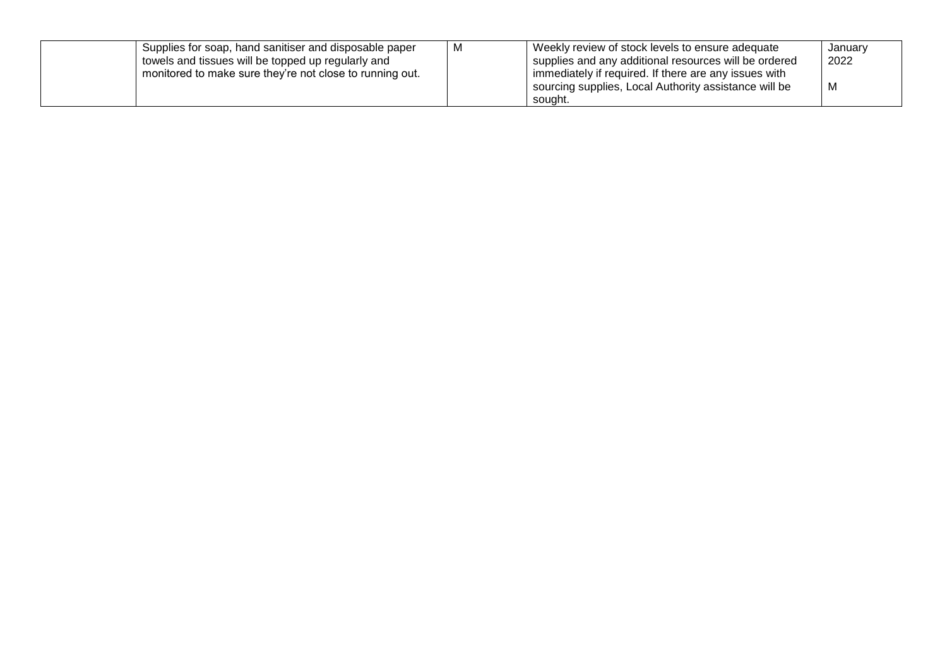| Supplies for soap, hand sanitiser and disposable paper<br>I towels and tissues will be topped up regularly and<br>monitored to make sure they're not close to running out. | м | Weekly review of stock levels to ensure adequate<br>supplies and any additional resources will be ordered<br>immediately if required. If there are any issues with<br>sourcing supplies, Local Authority assistance will be | January<br>2022<br>м |
|----------------------------------------------------------------------------------------------------------------------------------------------------------------------------|---|-----------------------------------------------------------------------------------------------------------------------------------------------------------------------------------------------------------------------------|----------------------|
|                                                                                                                                                                            |   | souaht.                                                                                                                                                                                                                     |                      |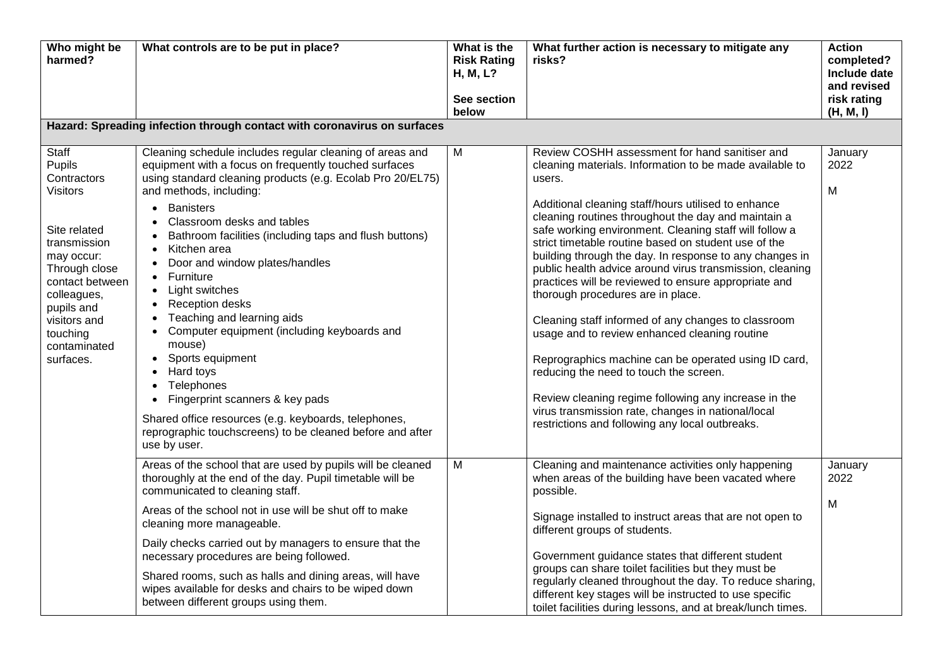| Who might be<br>harmed?                                                                                                                                              | What controls are to be put in place?                                                                                                                                                                                                                                                                                                                                                                                                                                                                                                                | What is the<br><b>Risk Rating</b><br>H, M, L?<br>See section<br>below | What further action is necessary to mitigate any<br>risks?                                                                                                                                                                                                                                                                                                                                                                                                                                                                                                                                                                                                                                                                                                           | <b>Action</b><br>completed?<br>Include date<br>and revised<br>risk rating<br>(H, M, I) |
|----------------------------------------------------------------------------------------------------------------------------------------------------------------------|------------------------------------------------------------------------------------------------------------------------------------------------------------------------------------------------------------------------------------------------------------------------------------------------------------------------------------------------------------------------------------------------------------------------------------------------------------------------------------------------------------------------------------------------------|-----------------------------------------------------------------------|----------------------------------------------------------------------------------------------------------------------------------------------------------------------------------------------------------------------------------------------------------------------------------------------------------------------------------------------------------------------------------------------------------------------------------------------------------------------------------------------------------------------------------------------------------------------------------------------------------------------------------------------------------------------------------------------------------------------------------------------------------------------|----------------------------------------------------------------------------------------|
|                                                                                                                                                                      | Hazard: Spreading infection through contact with coronavirus on surfaces                                                                                                                                                                                                                                                                                                                                                                                                                                                                             |                                                                       |                                                                                                                                                                                                                                                                                                                                                                                                                                                                                                                                                                                                                                                                                                                                                                      |                                                                                        |
| Staff<br>Pupils<br>Contractors<br><b>Visitors</b>                                                                                                                    | Cleaning schedule includes regular cleaning of areas and<br>equipment with a focus on frequently touched surfaces<br>using standard cleaning products (e.g. Ecolab Pro 20/EL75)<br>and methods, including:                                                                                                                                                                                                                                                                                                                                           | M                                                                     | Review COSHH assessment for hand sanitiser and<br>cleaning materials. Information to be made available to<br>users.<br>Additional cleaning staff/hours utilised to enhance                                                                                                                                                                                                                                                                                                                                                                                                                                                                                                                                                                                           | January<br>2022<br>M                                                                   |
| Site related<br>transmission<br>may occur:<br>Through close<br>contact between<br>colleagues,<br>pupils and<br>visitors and<br>touching<br>contaminated<br>surfaces. | <b>Banisters</b><br>$\bullet$<br>Classroom desks and tables<br>Bathroom facilities (including taps and flush buttons)<br>Kitchen area<br>Door and window plates/handles<br>Furniture<br>Light switches<br>$\bullet$<br>Reception desks<br>Teaching and learning aids<br>Computer equipment (including keyboards and<br>mouse)<br>Sports equipment<br>Hard toys<br>Telephones<br>Fingerprint scanners & key pads<br>Shared office resources (e.g. keyboards, telephones,<br>reprographic touchscreens) to be cleaned before and after<br>use by user. |                                                                       | cleaning routines throughout the day and maintain a<br>safe working environment. Cleaning staff will follow a<br>strict timetable routine based on student use of the<br>building through the day. In response to any changes in<br>public health advice around virus transmission, cleaning<br>practices will be reviewed to ensure appropriate and<br>thorough procedures are in place.<br>Cleaning staff informed of any changes to classroom<br>usage and to review enhanced cleaning routine<br>Reprographics machine can be operated using ID card,<br>reducing the need to touch the screen.<br>Review cleaning regime following any increase in the<br>virus transmission rate, changes in national/local<br>restrictions and following any local outbreaks. |                                                                                        |
|                                                                                                                                                                      | Areas of the school that are used by pupils will be cleaned<br>thoroughly at the end of the day. Pupil timetable will be<br>communicated to cleaning staff.                                                                                                                                                                                                                                                                                                                                                                                          | M                                                                     | Cleaning and maintenance activities only happening<br>when areas of the building have been vacated where<br>possible.                                                                                                                                                                                                                                                                                                                                                                                                                                                                                                                                                                                                                                                | January<br>2022                                                                        |
|                                                                                                                                                                      | Areas of the school not in use will be shut off to make<br>cleaning more manageable.                                                                                                                                                                                                                                                                                                                                                                                                                                                                 |                                                                       | Signage installed to instruct areas that are not open to<br>different groups of students.                                                                                                                                                                                                                                                                                                                                                                                                                                                                                                                                                                                                                                                                            | M                                                                                      |
|                                                                                                                                                                      | Daily checks carried out by managers to ensure that the<br>necessary procedures are being followed.<br>Shared rooms, such as halls and dining areas, will have<br>wipes available for desks and chairs to be wiped down<br>between different groups using them.                                                                                                                                                                                                                                                                                      |                                                                       | Government guidance states that different student<br>groups can share toilet facilities but they must be<br>regularly cleaned throughout the day. To reduce sharing,<br>different key stages will be instructed to use specific<br>toilet facilities during lessons, and at break/lunch times.                                                                                                                                                                                                                                                                                                                                                                                                                                                                       |                                                                                        |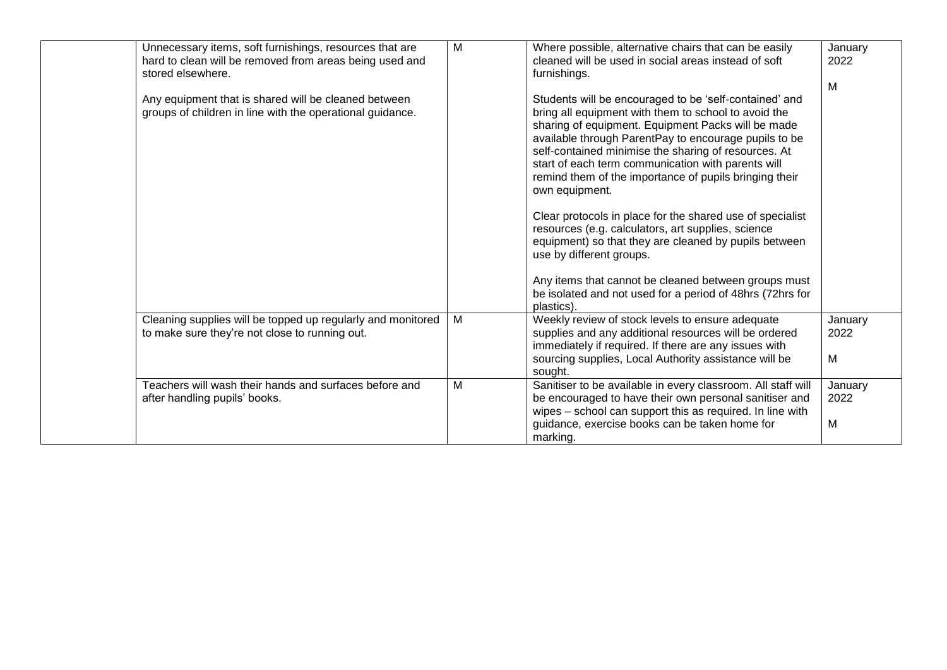| Unnecessary items, soft furnishings, resources that are<br>hard to clean will be removed from areas being used and<br>stored elsewhere.<br>Any equipment that is shared will be cleaned between<br>groups of children in line with the operational guidance. | M | Where possible, alternative chairs that can be easily<br>cleaned will be used in social areas instead of soft<br>furnishings.<br>Students will be encouraged to be 'self-contained' and<br>bring all equipment with them to school to avoid the<br>sharing of equipment. Equipment Packs will be made<br>available through ParentPay to encourage pupils to be<br>self-contained minimise the sharing of resources. At<br>start of each term communication with parents will<br>remind them of the importance of pupils bringing their<br>own equipment.<br>Clear protocols in place for the shared use of specialist<br>resources (e.g. calculators, art supplies, science<br>equipment) so that they are cleaned by pupils between<br>use by different groups.<br>Any items that cannot be cleaned between groups must<br>be isolated and not used for a period of 48hrs (72hrs for<br>plastics) | January<br>2022<br>M |
|--------------------------------------------------------------------------------------------------------------------------------------------------------------------------------------------------------------------------------------------------------------|---|----------------------------------------------------------------------------------------------------------------------------------------------------------------------------------------------------------------------------------------------------------------------------------------------------------------------------------------------------------------------------------------------------------------------------------------------------------------------------------------------------------------------------------------------------------------------------------------------------------------------------------------------------------------------------------------------------------------------------------------------------------------------------------------------------------------------------------------------------------------------------------------------------|----------------------|
| Cleaning supplies will be topped up regularly and monitored<br>to make sure they're not close to running out.                                                                                                                                                | M | Weekly review of stock levels to ensure adequate<br>supplies and any additional resources will be ordered<br>immediately if required. If there are any issues with<br>sourcing supplies, Local Authority assistance will be<br>sought.                                                                                                                                                                                                                                                                                                                                                                                                                                                                                                                                                                                                                                                             | January<br>2022<br>M |
| Teachers will wash their hands and surfaces before and<br>after handling pupils' books.                                                                                                                                                                      | M | Sanitiser to be available in every classroom. All staff will<br>be encouraged to have their own personal sanitiser and<br>wipes - school can support this as required. In line with<br>guidance, exercise books can be taken home for<br>marking.                                                                                                                                                                                                                                                                                                                                                                                                                                                                                                                                                                                                                                                  | January<br>2022<br>M |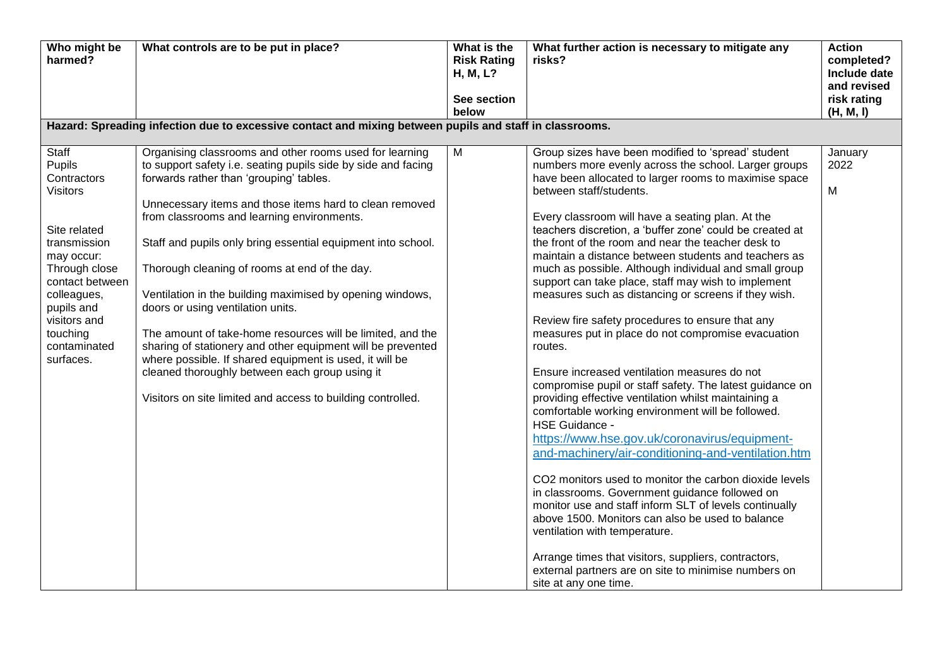| Who might be<br>harmed?                                                                                                                                                                                                          | What controls are to be put in place?                                                                                                                                                                                                                                                                                                                                                                                                                                                                                                                                                                                                                                                                                                                                                                    | What is the<br><b>Risk Rating</b><br><b>H, M, L?</b><br>See section<br>below | What further action is necessary to mitigate any<br>risks?                                                                                                                                                                                                                                                                                                                                                                                                                                                                                                                                                                                                                                                                                                                                                                                                                                                                                                                                                                                                                                                                                                                                                                                                                                                                                                                                                                                                                             | <b>Action</b><br>completed?<br>Include date<br>and revised<br>risk rating<br>(H, M, I) |  |
|----------------------------------------------------------------------------------------------------------------------------------------------------------------------------------------------------------------------------------|----------------------------------------------------------------------------------------------------------------------------------------------------------------------------------------------------------------------------------------------------------------------------------------------------------------------------------------------------------------------------------------------------------------------------------------------------------------------------------------------------------------------------------------------------------------------------------------------------------------------------------------------------------------------------------------------------------------------------------------------------------------------------------------------------------|------------------------------------------------------------------------------|----------------------------------------------------------------------------------------------------------------------------------------------------------------------------------------------------------------------------------------------------------------------------------------------------------------------------------------------------------------------------------------------------------------------------------------------------------------------------------------------------------------------------------------------------------------------------------------------------------------------------------------------------------------------------------------------------------------------------------------------------------------------------------------------------------------------------------------------------------------------------------------------------------------------------------------------------------------------------------------------------------------------------------------------------------------------------------------------------------------------------------------------------------------------------------------------------------------------------------------------------------------------------------------------------------------------------------------------------------------------------------------------------------------------------------------------------------------------------------------|----------------------------------------------------------------------------------------|--|
| Hazard: Spreading infection due to excessive contact and mixing between pupils and staff in classrooms.                                                                                                                          |                                                                                                                                                                                                                                                                                                                                                                                                                                                                                                                                                                                                                                                                                                                                                                                                          |                                                                              |                                                                                                                                                                                                                                                                                                                                                                                                                                                                                                                                                                                                                                                                                                                                                                                                                                                                                                                                                                                                                                                                                                                                                                                                                                                                                                                                                                                                                                                                                        |                                                                                        |  |
| Staff<br><b>Pupils</b><br>Contractors<br><b>Visitors</b><br>Site related<br>transmission<br>may occur:<br>Through close<br>contact between<br>colleagues,<br>pupils and<br>visitors and<br>touching<br>contaminated<br>surfaces. | Organising classrooms and other rooms used for learning<br>to support safety i.e. seating pupils side by side and facing<br>forwards rather than 'grouping' tables.<br>Unnecessary items and those items hard to clean removed<br>from classrooms and learning environments.<br>Staff and pupils only bring essential equipment into school.<br>Thorough cleaning of rooms at end of the day.<br>Ventilation in the building maximised by opening windows,<br>doors or using ventilation units.<br>The amount of take-home resources will be limited, and the<br>sharing of stationery and other equipment will be prevented<br>where possible. If shared equipment is used, it will be<br>cleaned thoroughly between each group using it<br>Visitors on site limited and access to building controlled. | M                                                                            | Group sizes have been modified to 'spread' student<br>numbers more evenly across the school. Larger groups<br>have been allocated to larger rooms to maximise space<br>between staff/students.<br>Every classroom will have a seating plan. At the<br>teachers discretion, a 'buffer zone' could be created at<br>the front of the room and near the teacher desk to<br>maintain a distance between students and teachers as<br>much as possible. Although individual and small group<br>support can take place, staff may wish to implement<br>measures such as distancing or screens if they wish.<br>Review fire safety procedures to ensure that any<br>measures put in place do not compromise evacuation<br>routes.<br>Ensure increased ventilation measures do not<br>compromise pupil or staff safety. The latest guidance on<br>providing effective ventilation whilst maintaining a<br>comfortable working environment will be followed.<br><b>HSE Guidance -</b><br>https://www.hse.gov.uk/coronavirus/equipment-<br>and-machinery/air-conditioning-and-ventilation.htm<br>CO2 monitors used to monitor the carbon dioxide levels<br>in classrooms. Government guidance followed on<br>monitor use and staff inform SLT of levels continually<br>above 1500. Monitors can also be used to balance<br>ventilation with temperature.<br>Arrange times that visitors, suppliers, contractors,<br>external partners are on site to minimise numbers on<br>site at any one time. | January<br>2022<br>M                                                                   |  |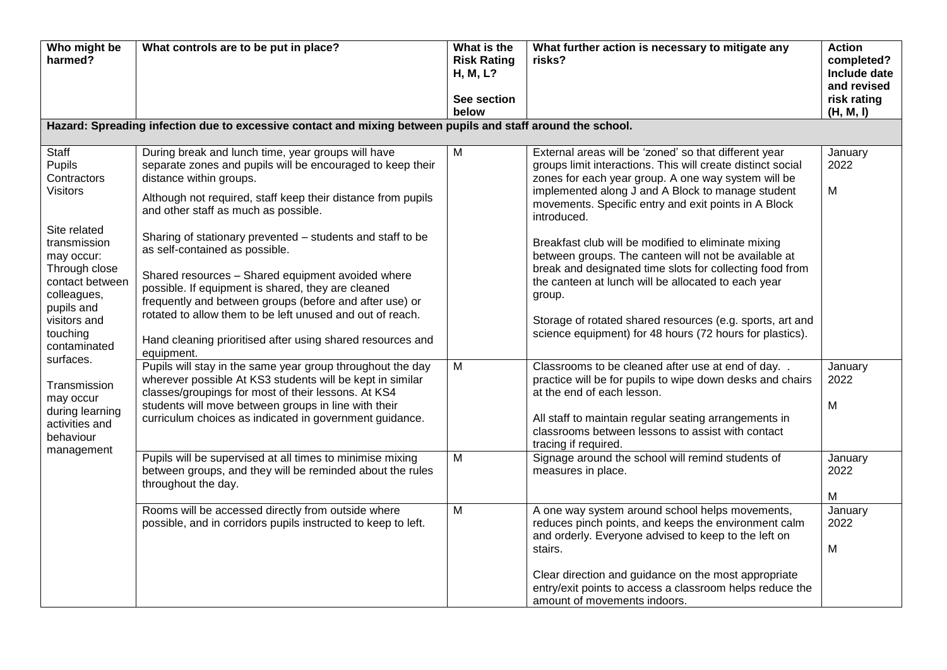| Who might be<br>harmed?                                                                                                                                                                                      | What controls are to be put in place?                                                                                                                                                                                                                                                                                                                                                                                                                                                                                                                                                                                                                              | What is the<br><b>Risk Rating</b><br>H, M, L?<br>See section | What further action is necessary to mitigate any<br>risks?                                                                                                                                                                                                                                                                                                                                                                                                                                                                                                                                                                                                                   | <b>Action</b><br>completed?<br>Include date<br>and revised<br>risk rating |
|--------------------------------------------------------------------------------------------------------------------------------------------------------------------------------------------------------------|--------------------------------------------------------------------------------------------------------------------------------------------------------------------------------------------------------------------------------------------------------------------------------------------------------------------------------------------------------------------------------------------------------------------------------------------------------------------------------------------------------------------------------------------------------------------------------------------------------------------------------------------------------------------|--------------------------------------------------------------|------------------------------------------------------------------------------------------------------------------------------------------------------------------------------------------------------------------------------------------------------------------------------------------------------------------------------------------------------------------------------------------------------------------------------------------------------------------------------------------------------------------------------------------------------------------------------------------------------------------------------------------------------------------------------|---------------------------------------------------------------------------|
|                                                                                                                                                                                                              | Hazard: Spreading infection due to excessive contact and mixing between pupils and staff around the school.                                                                                                                                                                                                                                                                                                                                                                                                                                                                                                                                                        | below                                                        |                                                                                                                                                                                                                                                                                                                                                                                                                                                                                                                                                                                                                                                                              | (H, M, I)                                                                 |
| Staff<br>Pupils<br>Contractors<br><b>Visitors</b><br>Site related<br>transmission<br>may occur:<br>Through close<br>contact between<br>colleagues,<br>pupils and<br>visitors and<br>touching<br>contaminated | During break and lunch time, year groups will have<br>separate zones and pupils will be encouraged to keep their<br>distance within groups.<br>Although not required, staff keep their distance from pupils<br>and other staff as much as possible.<br>Sharing of stationary prevented - students and staff to be<br>as self-contained as possible.<br>Shared resources - Shared equipment avoided where<br>possible. If equipment is shared, they are cleaned<br>frequently and between groups (before and after use) or<br>rotated to allow them to be left unused and out of reach.<br>Hand cleaning prioritised after using shared resources and<br>equipment. | $\overline{M}$                                               | External areas will be 'zoned' so that different year<br>groups limit interactions. This will create distinct social<br>zones for each year group. A one way system will be<br>implemented along J and A Block to manage student<br>movements. Specific entry and exit points in A Block<br>introduced.<br>Breakfast club will be modified to eliminate mixing<br>between groups. The canteen will not be available at<br>break and designated time slots for collecting food from<br>the canteen at lunch will be allocated to each year<br>group.<br>Storage of rotated shared resources (e.g. sports, art and<br>science equipment) for 48 hours (72 hours for plastics). | January<br>2022<br>M                                                      |
| surfaces.<br>Transmission<br>may occur<br>during learning<br>activities and<br>behaviour<br>management                                                                                                       | Pupils will stay in the same year group throughout the day<br>wherever possible At KS3 students will be kept in similar<br>classes/groupings for most of their lessons. At KS4<br>students will move between groups in line with their<br>curriculum choices as indicated in government guidance.<br>Pupils will be supervised at all times to minimise mixing<br>between groups, and they will be reminded about the rules                                                                                                                                                                                                                                        | M<br>M                                                       | Classrooms to be cleaned after use at end of day<br>practice will be for pupils to wipe down desks and chairs<br>at the end of each lesson.<br>All staff to maintain regular seating arrangements in<br>classrooms between lessons to assist with contact<br>tracing if required.<br>Signage around the school will remind students of<br>measures in place.                                                                                                                                                                                                                                                                                                                 | January<br>2022<br>M<br>January<br>2022                                   |
|                                                                                                                                                                                                              | throughout the day.<br>Rooms will be accessed directly from outside where<br>possible, and in corridors pupils instructed to keep to left.                                                                                                                                                                                                                                                                                                                                                                                                                                                                                                                         | M                                                            | A one way system around school helps movements,<br>reduces pinch points, and keeps the environment calm<br>and orderly. Everyone advised to keep to the left on<br>stairs.<br>Clear direction and guidance on the most appropriate<br>entry/exit points to access a classroom helps reduce the<br>amount of movements indoors.                                                                                                                                                                                                                                                                                                                                               | M<br>January<br>2022<br>M                                                 |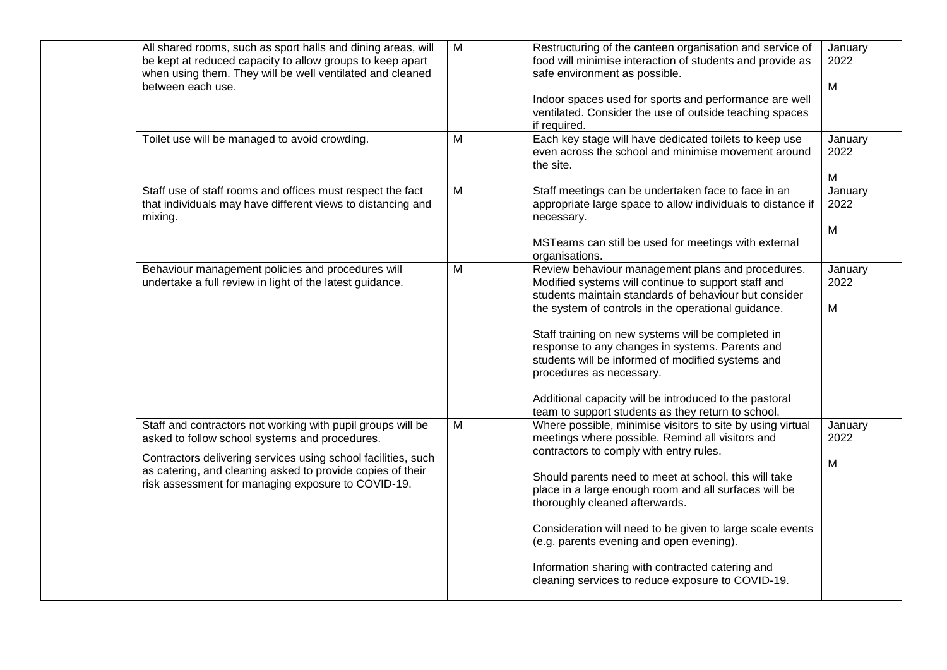| All shared rooms, such as sport halls and dining areas, will<br>be kept at reduced capacity to allow groups to keep apart<br>when using them. They will be well ventilated and cleaned<br>between each use.                                                                                        | M              | Restructuring of the canteen organisation and service of<br>food will minimise interaction of students and provide as<br>safe environment as possible.<br>Indoor spaces used for sports and performance are well<br>ventilated. Consider the use of outside teaching spaces<br>if required.                                                                                                                                                                                                                                        | January<br>2022<br>M |
|----------------------------------------------------------------------------------------------------------------------------------------------------------------------------------------------------------------------------------------------------------------------------------------------------|----------------|------------------------------------------------------------------------------------------------------------------------------------------------------------------------------------------------------------------------------------------------------------------------------------------------------------------------------------------------------------------------------------------------------------------------------------------------------------------------------------------------------------------------------------|----------------------|
| Toilet use will be managed to avoid crowding.                                                                                                                                                                                                                                                      | M              | Each key stage will have dedicated toilets to keep use<br>even across the school and minimise movement around<br>the site.                                                                                                                                                                                                                                                                                                                                                                                                         | January<br>2022<br>M |
| Staff use of staff rooms and offices must respect the fact<br>that individuals may have different views to distancing and<br>mixing.                                                                                                                                                               | M              | Staff meetings can be undertaken face to face in an<br>appropriate large space to allow individuals to distance if<br>necessary.<br>MSTeams can still be used for meetings with external<br>organisations.                                                                                                                                                                                                                                                                                                                         | January<br>2022<br>M |
| Behaviour management policies and procedures will<br>undertake a full review in light of the latest guidance.                                                                                                                                                                                      | M              | Review behaviour management plans and procedures.<br>Modified systems will continue to support staff and<br>students maintain standards of behaviour but consider<br>the system of controls in the operational guidance.<br>Staff training on new systems will be completed in<br>response to any changes in systems. Parents and<br>students will be informed of modified systems and<br>procedures as necessary.<br>Additional capacity will be introduced to the pastoral<br>team to support students as they return to school. | January<br>2022<br>M |
| Staff and contractors not working with pupil groups will be<br>asked to follow school systems and procedures.<br>Contractors delivering services using school facilities, such<br>as catering, and cleaning asked to provide copies of their<br>risk assessment for managing exposure to COVID-19. | $\overline{M}$ | Where possible, minimise visitors to site by using virtual<br>meetings where possible. Remind all visitors and<br>contractors to comply with entry rules.<br>Should parents need to meet at school, this will take<br>place in a large enough room and all surfaces will be<br>thoroughly cleaned afterwards.<br>Consideration will need to be given to large scale events<br>(e.g. parents evening and open evening).<br>Information sharing with contracted catering and<br>cleaning services to reduce exposure to COVID-19.    | January<br>2022<br>M |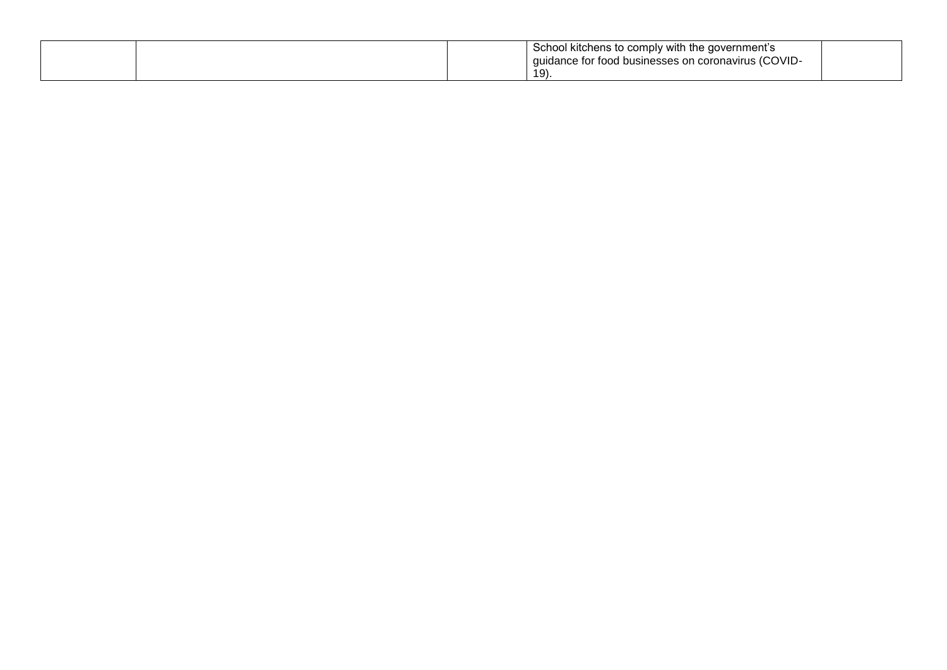|  | School kitchens to comply with the government's<br>quidance for food businesses on coronavirus (COVID- |  |
|--|--------------------------------------------------------------------------------------------------------|--|
|  | $19$ .                                                                                                 |  |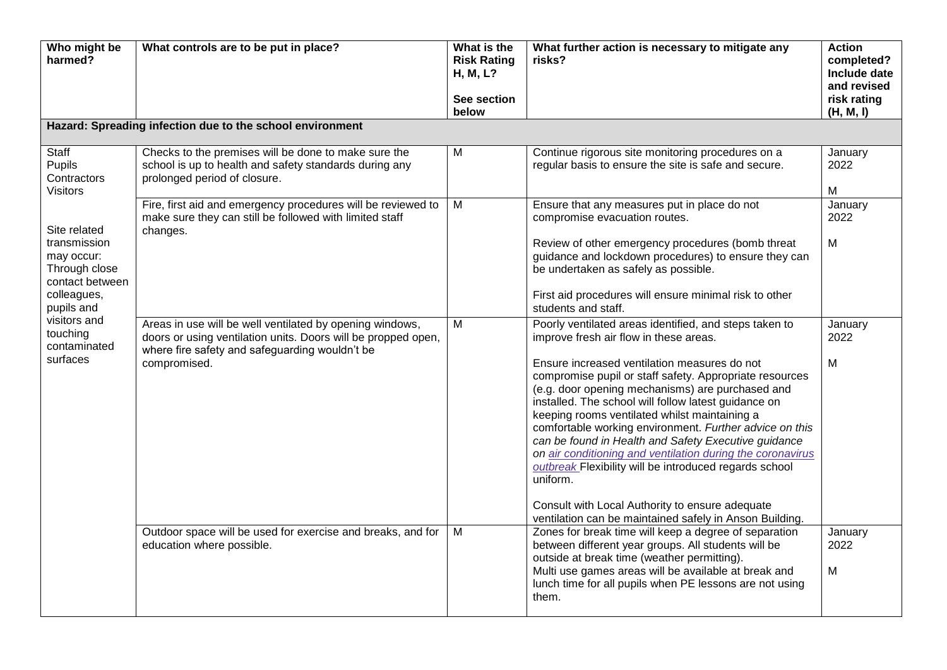| Who might be<br>harmed?                                                                                                                                             | What controls are to be put in place?                                                                                                                                                       | What is the<br><b>Risk Rating</b><br>H, M, L?<br>See section<br>below | What further action is necessary to mitigate any<br>risks?                                                                                                                                                                                                                                                                                                                                                                                                                                                                                                                                                                                                                                                                                                           | <b>Action</b><br>completed?<br>Include date<br>and revised<br>risk rating<br>(H, M, I) |
|---------------------------------------------------------------------------------------------------------------------------------------------------------------------|---------------------------------------------------------------------------------------------------------------------------------------------------------------------------------------------|-----------------------------------------------------------------------|----------------------------------------------------------------------------------------------------------------------------------------------------------------------------------------------------------------------------------------------------------------------------------------------------------------------------------------------------------------------------------------------------------------------------------------------------------------------------------------------------------------------------------------------------------------------------------------------------------------------------------------------------------------------------------------------------------------------------------------------------------------------|----------------------------------------------------------------------------------------|
|                                                                                                                                                                     | Hazard: Spreading infection due to the school environment                                                                                                                                   |                                                                       |                                                                                                                                                                                                                                                                                                                                                                                                                                                                                                                                                                                                                                                                                                                                                                      |                                                                                        |
| Staff<br>Pupils<br>Contractors<br><b>Visitors</b>                                                                                                                   | Checks to the premises will be done to make sure the<br>school is up to health and safety standards during any<br>prolonged period of closure.                                              | $\overline{M}$                                                        | Continue rigorous site monitoring procedures on a<br>regular basis to ensure the site is safe and secure.                                                                                                                                                                                                                                                                                                                                                                                                                                                                                                                                                                                                                                                            | January<br>2022<br>M                                                                   |
| Site related<br>transmission<br>may occur:<br>Through close<br>contact between<br>colleagues,<br>pupils and<br>visitors and<br>touching<br>contaminated<br>surfaces | Fire, first aid and emergency procedures will be reviewed to<br>make sure they can still be followed with limited staff<br>changes.                                                         | M                                                                     | Ensure that any measures put in place do not<br>compromise evacuation routes.<br>Review of other emergency procedures (bomb threat<br>guidance and lockdown procedures) to ensure they can<br>be undertaken as safely as possible.<br>First aid procedures will ensure minimal risk to other                                                                                                                                                                                                                                                                                                                                                                                                                                                                         | January<br>2022<br>M                                                                   |
|                                                                                                                                                                     | Areas in use will be well ventilated by opening windows,<br>doors or using ventilation units. Doors will be propped open,<br>where fire safety and safeguarding wouldn't be<br>compromised. | M                                                                     | students and staff.<br>Poorly ventilated areas identified, and steps taken to<br>improve fresh air flow in these areas.<br>Ensure increased ventilation measures do not<br>compromise pupil or staff safety. Appropriate resources<br>(e.g. door opening mechanisms) are purchased and<br>installed. The school will follow latest guidance on<br>keeping rooms ventilated whilst maintaining a<br>comfortable working environment. Further advice on this<br>can be found in Health and Safety Executive guidance<br>on air conditioning and ventilation during the coronavirus<br>outbreak Flexibility will be introduced regards school<br>uniform.<br>Consult with Local Authority to ensure adequate<br>ventilation can be maintained safely in Anson Building. | January<br>2022<br>M                                                                   |
|                                                                                                                                                                     | Outdoor space will be used for exercise and breaks, and for<br>education where possible.                                                                                                    | M                                                                     | Zones for break time will keep a degree of separation<br>between different year groups. All students will be<br>outside at break time (weather permitting).<br>Multi use games areas will be available at break and<br>lunch time for all pupils when PE lessons are not using<br>them.                                                                                                                                                                                                                                                                                                                                                                                                                                                                              | January<br>2022<br>M                                                                   |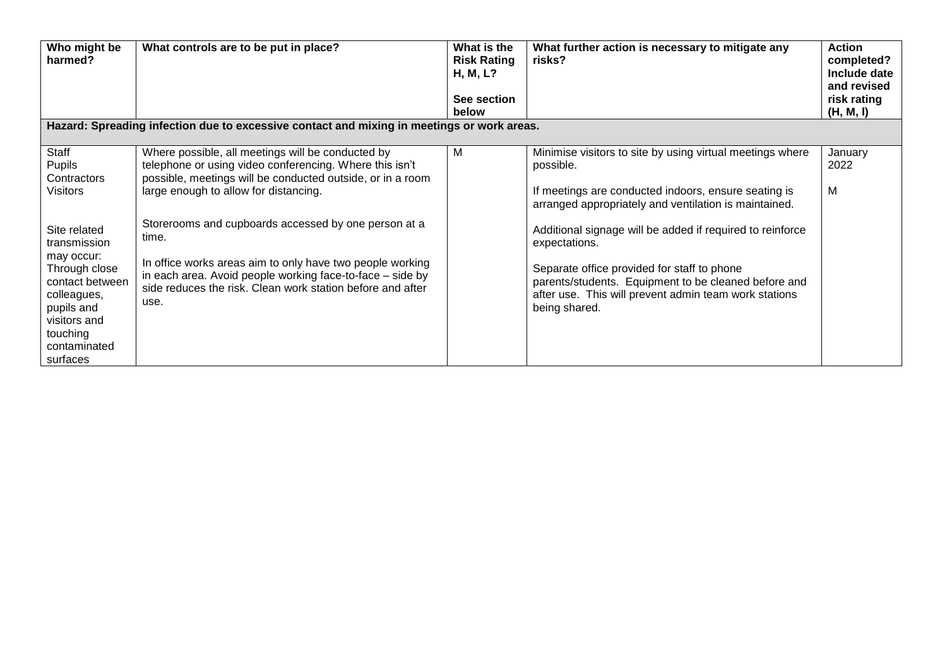| Who might be<br>harmed?                                                                                                             | What controls are to be put in place?<br>Hazard: Spreading infection due to excessive contact and mixing in meetings or work areas.                                                                                                                                                  | What is the<br><b>Risk Rating</b><br>H, M, L?<br>See section<br>below | What further action is necessary to mitigate any<br>risks?                                                                                                                                                                                                            | <b>Action</b><br>completed?<br>Include date<br>and revised<br>risk rating<br>(H, M, I) |
|-------------------------------------------------------------------------------------------------------------------------------------|--------------------------------------------------------------------------------------------------------------------------------------------------------------------------------------------------------------------------------------------------------------------------------------|-----------------------------------------------------------------------|-----------------------------------------------------------------------------------------------------------------------------------------------------------------------------------------------------------------------------------------------------------------------|----------------------------------------------------------------------------------------|
| Staff<br>Pupils<br>Contractors<br><b>Visitors</b><br>Site related<br>transmission                                                   | Where possible, all meetings will be conducted by<br>telephone or using video conferencing. Where this isn't<br>possible, meetings will be conducted outside, or in a room<br>large enough to allow for distancing.<br>Storerooms and cupboards accessed by one person at a<br>time. | M                                                                     | Minimise visitors to site by using virtual meetings where<br>possible.<br>If meetings are conducted indoors, ensure seating is<br>arranged appropriately and ventilation is maintained.<br>Additional signage will be added if required to reinforce<br>expectations. | January<br>2022<br>м                                                                   |
| may occur:<br>Through close<br>contact between<br>colleagues,<br>pupils and<br>visitors and<br>touching<br>contaminated<br>surfaces | In office works areas aim to only have two people working<br>in each area. Avoid people working face-to-face - side by<br>side reduces the risk. Clean work station before and after<br>use.                                                                                         |                                                                       | Separate office provided for staff to phone<br>parents/students. Equipment to be cleaned before and<br>after use. This will prevent admin team work stations<br>being shared.                                                                                         |                                                                                        |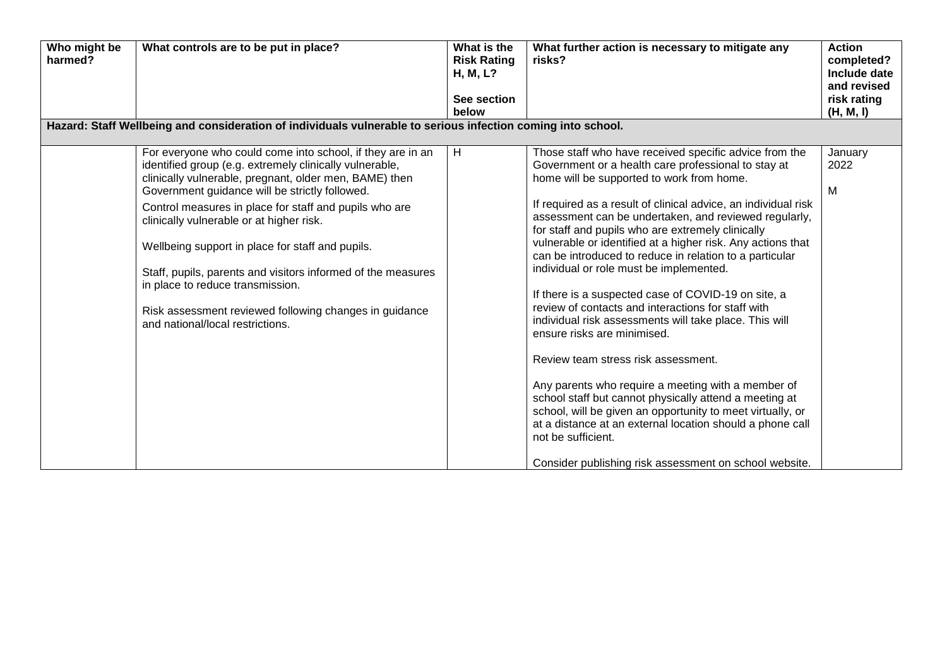| Who might be<br>harmed? | What controls are to be put in place?                                                                                                                                                                                                                                                                                                                                                                                                                                                                                                                                                         | What is the<br><b>Risk Rating</b><br>H, M, L?<br>See section<br>below | What further action is necessary to mitigate any<br>risks?                                                                                                                                                                                                                                                                                                                                                                                                                                                                                                                                                                                                                                                                                                                                                                                                                                                                                                                                                                                                                              | <b>Action</b><br>completed?<br>Include date<br>and revised<br>risk rating<br>(H, M, I) |
|-------------------------|-----------------------------------------------------------------------------------------------------------------------------------------------------------------------------------------------------------------------------------------------------------------------------------------------------------------------------------------------------------------------------------------------------------------------------------------------------------------------------------------------------------------------------------------------------------------------------------------------|-----------------------------------------------------------------------|-----------------------------------------------------------------------------------------------------------------------------------------------------------------------------------------------------------------------------------------------------------------------------------------------------------------------------------------------------------------------------------------------------------------------------------------------------------------------------------------------------------------------------------------------------------------------------------------------------------------------------------------------------------------------------------------------------------------------------------------------------------------------------------------------------------------------------------------------------------------------------------------------------------------------------------------------------------------------------------------------------------------------------------------------------------------------------------------|----------------------------------------------------------------------------------------|
|                         | Hazard: Staff Wellbeing and consideration of individuals vulnerable to serious infection coming into school.                                                                                                                                                                                                                                                                                                                                                                                                                                                                                  |                                                                       |                                                                                                                                                                                                                                                                                                                                                                                                                                                                                                                                                                                                                                                                                                                                                                                                                                                                                                                                                                                                                                                                                         |                                                                                        |
|                         | For everyone who could come into school, if they are in an<br>identified group (e.g. extremely clinically vulnerable,<br>clinically vulnerable, pregnant, older men, BAME) then<br>Government guidance will be strictly followed.<br>Control measures in place for staff and pupils who are<br>clinically vulnerable or at higher risk.<br>Wellbeing support in place for staff and pupils.<br>Staff, pupils, parents and visitors informed of the measures<br>in place to reduce transmission.<br>Risk assessment reviewed following changes in guidance<br>and national/local restrictions. | H                                                                     | Those staff who have received specific advice from the<br>Government or a health care professional to stay at<br>home will be supported to work from home.<br>If required as a result of clinical advice, an individual risk<br>assessment can be undertaken, and reviewed regularly,<br>for staff and pupils who are extremely clinically<br>vulnerable or identified at a higher risk. Any actions that<br>can be introduced to reduce in relation to a particular<br>individual or role must be implemented.<br>If there is a suspected case of COVID-19 on site, a<br>review of contacts and interactions for staff with<br>individual risk assessments will take place. This will<br>ensure risks are minimised.<br>Review team stress risk assessment.<br>Any parents who require a meeting with a member of<br>school staff but cannot physically attend a meeting at<br>school, will be given an opportunity to meet virtually, or<br>at a distance at an external location should a phone call<br>not be sufficient.<br>Consider publishing risk assessment on school website. | January<br>2022<br>M                                                                   |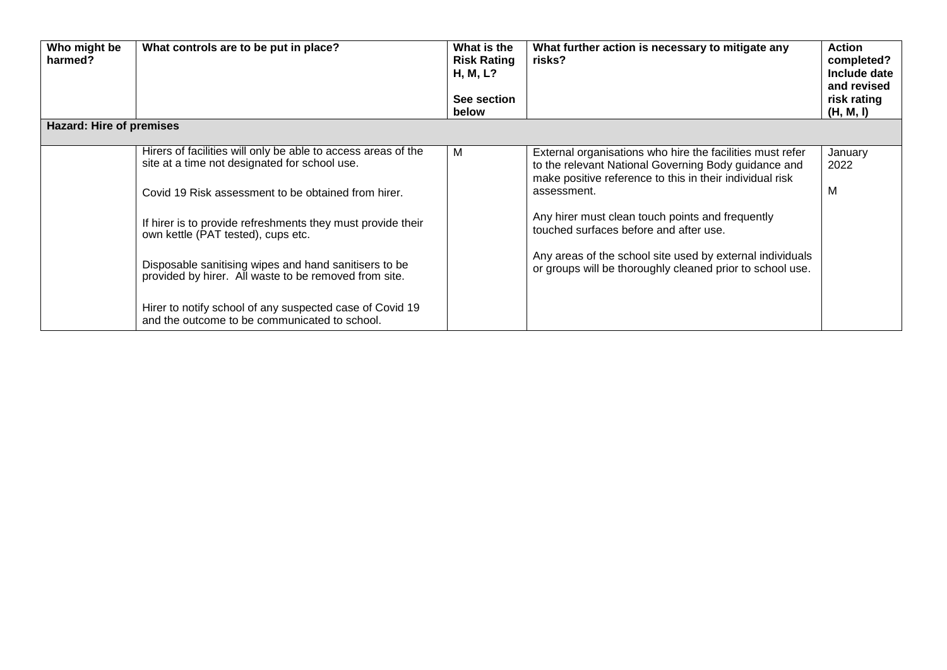| Who might be<br>harmed?  | What controls are to be put in place?                                                                                                                                                                                                                                                                                                                                                        | What is the<br><b>Risk Rating</b><br>H, M, L?<br>See section<br>below | What further action is necessary to mitigate any<br>risks?                                                                                                                                                                                                                                                                                                                                                           | <b>Action</b><br>completed?<br>Include date<br>and revised<br>risk rating<br>(H, M, I) |
|--------------------------|----------------------------------------------------------------------------------------------------------------------------------------------------------------------------------------------------------------------------------------------------------------------------------------------------------------------------------------------------------------------------------------------|-----------------------------------------------------------------------|----------------------------------------------------------------------------------------------------------------------------------------------------------------------------------------------------------------------------------------------------------------------------------------------------------------------------------------------------------------------------------------------------------------------|----------------------------------------------------------------------------------------|
| Hazard: Hire of premises |                                                                                                                                                                                                                                                                                                                                                                                              |                                                                       |                                                                                                                                                                                                                                                                                                                                                                                                                      |                                                                                        |
|                          | Hirers of facilities will only be able to access areas of the<br>site at a time not designated for school use.<br>Covid 19 Risk assessment to be obtained from hirer.<br>If hirer is to provide refreshments they must provide their<br>own kettle (PAT tested), cups etc.<br>Disposable sanitising wipes and hand sanitisers to be<br>provided by hirer. All waste to be removed from site. | M                                                                     | External organisations who hire the facilities must refer<br>to the relevant National Governing Body guidance and<br>make positive reference to this in their individual risk<br>assessment.<br>Any hirer must clean touch points and frequently<br>touched surfaces before and after use.<br>Any areas of the school site used by external individuals<br>or groups will be thoroughly cleaned prior to school use. | January<br>2022<br>м                                                                   |
|                          | Hirer to notify school of any suspected case of Covid 19<br>and the outcome to be communicated to school.                                                                                                                                                                                                                                                                                    |                                                                       |                                                                                                                                                                                                                                                                                                                                                                                                                      |                                                                                        |